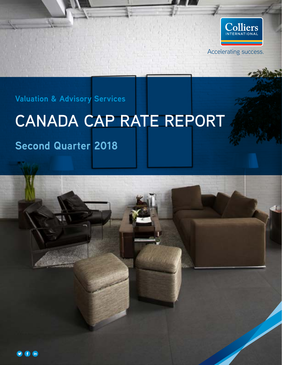

**Valuation & Advisory Services**

# **CANADA CAP RATE REPORT**

## **Second Quarter 2018**

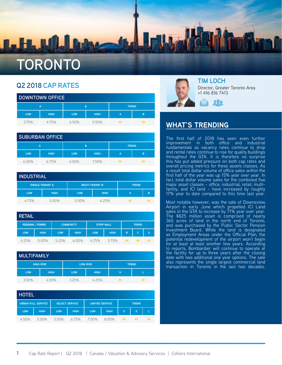

| <b>DOWNTOWN OFFICE</b> |             |            |                   |                |   |  |  |  |
|------------------------|-------------|------------|-------------------|----------------|---|--|--|--|
|                        | Α           |            | <b>TREND</b><br>B |                |   |  |  |  |
| <b>LOW</b>             | <b>HIGH</b> | <b>LOW</b> | <b>HIGH</b>       | $\overline{A}$ | B |  |  |  |
| 3.75%                  | 4.75%       | 4.50%      | 5.50%             |                |   |  |  |  |

| <b>SUBURBAN OFFICE</b> |             |            |             |                |              |  |  |  |
|------------------------|-------------|------------|-------------|----------------|--------------|--|--|--|
|                        | A           | <b>B</b>   |             |                | <b>TREND</b> |  |  |  |
| <b>LOW</b>             | <b>HIGH</b> | <b>LOW</b> | <b>HIGH</b> | $\overline{A}$ | B            |  |  |  |
| 6.00%                  | 6.75%       | 6.50%      | 7.50%       |                |              |  |  |  |

| <b>INDUSTRIAL</b> |                 |                       |             |   |   |  |  |  |  |
|-------------------|-----------------|-----------------------|-------------|---|---|--|--|--|--|
|                   | SINGLE-TENANT A | <b>MULTI-TENANT B</b> |             |   |   |  |  |  |  |
| <b>LOW</b>        | <b>HIGH</b>     | <b>LOW</b>            | <b>HIGH</b> | А | в |  |  |  |  |
| 475%              | 5.50%           | 5.50%                 | 6.25%       |   |   |  |  |  |  |

| <b>RETAIL</b> |                         |            |                                       |            |              |              |          |   |
|---------------|-------------------------|------------|---------------------------------------|------------|--------------|--------------|----------|---|
|               | <b>REGIONAL / POWER</b> |            | <b>STRIP MALL</b><br><b>COMMUNITY</b> |            | <b>TREND</b> |              |          |   |
| <b>LOW</b>    | <b>HIGH</b>             | <b>LOW</b> | <b>HIGH</b>                           | <b>LOW</b> | <b>HIGH</b>  | $\mathsf{R}$ | <b>C</b> | S |
| 4.25%         | 5.00%                   | 5.25%      | $6.00\%$                              | 4.75%      | 5.75%        | 43           |          |   |

| <b>MULTIFAMILY</b> |                  |                 |             |              |   |  |  |  |
|--------------------|------------------|-----------------|-------------|--------------|---|--|--|--|
|                    | <b>HIGH-RISE</b> | <b>LOW-RISE</b> |             | <b>TREND</b> |   |  |  |  |
| <b>LOW</b>         | <b>HIGH</b>      | <b>LOW</b>      | <b>HIGH</b> | н            | ь |  |  |  |
| 3.50%              | 4.50%            | 3.25%           | 4.25%       |              |   |  |  |  |

| <b>HOTEL</b> |                           |                       |             |                        |             |   |              |  |  |
|--------------|---------------------------|-----------------------|-------------|------------------------|-------------|---|--------------|--|--|
|              | <b>URBAN FULL SERVICE</b> | <b>SELECT SERVICE</b> |             | <b>LIMITED SERVICE</b> |             |   | <b>TREND</b> |  |  |
| LOW          | <b>HIGH</b>               | <b>LOW</b>            | <b>HIGH</b> | <b>LOW</b>             | <b>HIGH</b> | U | S            |  |  |
| 4.50%        | 550%                      | 5.50%                 | 6.75%       | 7.00%                  | 8.00%       |   |              |  |  |



#### **TIM LOCH**

Director, Greater Toronto Area +1 416 816 7413



#### **WHAT'S TRENDING**

The first half of 2018 has seen even further improvement in both office and industrial fundamentals as vacancy rates continue to drop and rental rates continue to rise for quality buildings throughout the GTA. It is therefore no surprise this has put added pressure on both cap rates and overall pricing metrics for these assets classes. As a result total dollar volume of office sales within the first half of the year was up 15% year over year. In fact, total dollar volume sales for the combined five major asset classes – office, industrial, retail, multifamily, and ICI land – have increased by roughly 17% year to date compared to this time last year.

Most notable however, was the sale of Downsview Airport in early June which propelled ICI Land sales in the GTA to increase by 71% year over year. The \$825 million asset is comprised of nearly 365 acres of land in the north end of Toronto, and was purchased by the Public Sector Pension Investment Board. While the land is designated as Employment Areas under the Official Plan, the potential redevelopment of the airport won't begin for at least at least another few years. According to reports, Bombardier will continue to operate at the facility for up to three years after the closing date with two additional one year options. The sale also represents the single largest commercial land transaction in Toronto in the last two decades.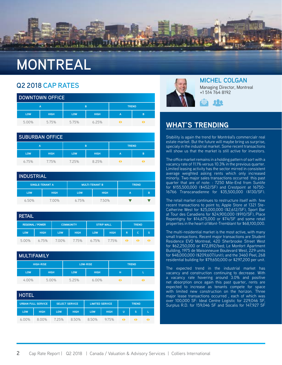

| <b>DOWNTOWN OFFICE</b> |             |                   |             |   |   |  |  |  |
|------------------------|-------------|-------------------|-------------|---|---|--|--|--|
|                        | А           | <b>TREND</b><br>B |             |   |   |  |  |  |
| <b>LOW</b>             | <b>HIGH</b> | <b>LOW</b>        | <b>HIGH</b> | A | в |  |  |  |
| 5.00%                  | 5.75%       | 5.75%             | 6.25%       |   |   |  |  |  |

| <b>SUBURBAN OFFICE</b> |             |            |             |              |   |  |  |  |
|------------------------|-------------|------------|-------------|--------------|---|--|--|--|
|                        | А           | B          |             | <b>TREND</b> |   |  |  |  |
| <b>LOW</b>             | <b>HIGH</b> | <b>LOW</b> | <b>HIGH</b> | A            | B |  |  |  |
| 6.75%                  | 775%        | 7.25%      | 8.25%       |              |   |  |  |  |

| <b>INDUSTRIAL</b> |                        |                       |              |   |   |  |  |  |
|-------------------|------------------------|-----------------------|--------------|---|---|--|--|--|
|                   | <b>SINGLE-TENANT A</b> | <b>MULTI-TENANT B</b> | <b>TREND</b> |   |   |  |  |  |
| <b>LOW</b>        | <b>HIGH</b>            | <b>LOW</b>            | <b>HIGH</b>  | А | B |  |  |  |
| 6.50%             | 7.00%                  | 6.75%                 | 7.50%        |   |   |  |  |  |

| <b>RETAIL</b> |                         |            |                                       |            |             |              |    |    |
|---------------|-------------------------|------------|---------------------------------------|------------|-------------|--------------|----|----|
|               | <b>REGIONAL / POWER</b> |            | <b>COMMUNITY</b><br><b>STRIP MALL</b> |            |             | <b>TREND</b> |    |    |
| LOW           | <b>HIGH</b>             | <b>LOW</b> | <b>HIGH</b>                           | <b>LOW</b> | <b>HIGH</b> | $\mathsf{R}$ | C. | S  |
| 5.00%         | 6.75%                   | 700%       | 7.75%                                 | 6.75%      | 7.75%       | 41           | 46 | 46 |

| <b>MULTIFAMILY</b> |                  |                 |             |              |  |  |  |  |
|--------------------|------------------|-----------------|-------------|--------------|--|--|--|--|
|                    | <b>HIGH-RISE</b> | <b>LOW-RISE</b> |             | <b>TREND</b> |  |  |  |  |
| <b>LOW</b>         | <b>HIGH</b>      | LOW.            | <b>HIGH</b> | н            |  |  |  |  |
| 4.00%              | 5.00%            | 5.25%           | 6.00%       | 41           |  |  |  |  |

| <b>HOTEL</b> |                           |                       |             |                                        |             |    |   |  |
|--------------|---------------------------|-----------------------|-------------|----------------------------------------|-------------|----|---|--|
|              | <b>URBAN FULL SERVICE</b> | <b>SELECT SERVICE</b> |             | <b>LIMITED SERVICE</b><br><b>TREND</b> |             |    |   |  |
| <b>LOW</b>   | <b>HIGH</b>               | <b>LOW</b>            | <b>HIGH</b> | <b>LOW</b>                             | <b>HIGH</b> | U  | S |  |
| $6.00\%$     | 8.00%                     | 725%                  | 8.50%       | 8.50%                                  | 975%        | 41 |   |  |



**MICHEL COLGAN** Managing Director, Montreal +1 514 764 8192



#### **WHAT'S TRENDING**

Stability is again the trend for Montréal's commercialr real estate market. But the future will maybe bring us surprise, specialy in the industrial market. Some recent transactions will show us that the market is still active for investors.

The office market remains in a holding pattern of sort with a vacancy rate of 11.1% versus 10.3% in the previous quarter. Limited leasing activity has the sector mirred in consistent average weighted asking rents which only increased minorly. Two major sales transactions occurred this past quarter that are of note: : 7250 Mile-End from Sunlife for \$155,500,000 (\$452/SF) and Crestpoint at 16750- 16766 Transcanadienne for \$35,500,000 (\$130/SF).

The retail market continues to restructure itself with few recent transactions to point to; Apple Store at 1321 Ste-Catherine West for \$25,000,000 (\$2,612/SF), Sport Bar at Tour des Canadiens for \$24,900,000 (\$910/SF), Place Repentigny for \$14,675,000 or \$74/SF and some retail properties in the heart of Mont-Tremblant for \$68,100,000.

The multi-residential market is the most active, with many small transactions. Recent major transactions are Student Residence EVO Montreal, 420 Sherbrooke Street West for \$62,250,000 or \$72,892/bed; Le Monfort Apartment Building, 1975 de Maisonneuve Boulevard West, 229 units for \$48,000,000 (\$209,607/unit); and the 3460 Peel, 268 residential building for \$79,650,000 or \$297,200 per unit.

The expected trend in the industrial market has vacancy and construction continuing to decrease. With a vacancy rate hovering around 3.0% and positive net absorption once again this past quarter, rents are expected to increase as tenants compete for space with limited new construction on the horizon. Three major lease transactions occurred , each of which was over 100,000 SF: Ideal Centre Logistic for 229,046 SF, Surplus R.D. for 159,046 SF and Socalis for 147,927 SF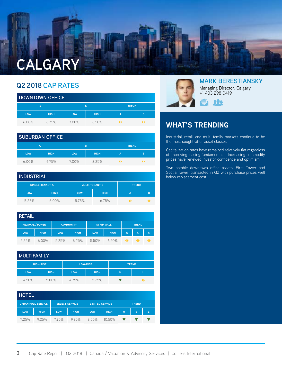

| <b>DOWNTOWN OFFICE</b> |             |            |             |                |              |  |  |  |
|------------------------|-------------|------------|-------------|----------------|--------------|--|--|--|
|                        | Α           |            | B           |                | <b>TREND</b> |  |  |  |
| <b>LOW</b>             | <b>HIGH</b> | <b>LOW</b> | <b>HIGH</b> | $\overline{A}$ | B            |  |  |  |
| $6.00\%$               | 6.75%       | 7.00%      | 8.50%       |                |              |  |  |  |

| <b>SUBURBAN OFFICE</b> |             |            |             |   |              |  |  |  |
|------------------------|-------------|------------|-------------|---|--------------|--|--|--|
|                        | А           |            | B           |   | <b>TREND</b> |  |  |  |
| <b>LOW</b>             | <b>HIGH</b> | <b>LOW</b> | <b>HIGH</b> | A | в            |  |  |  |
| $6.00\%$               | 6.75%       | 7.00%      | 8.25%       |   |              |  |  |  |

#### **INDUSTRIAL**

|            | <b>SINGLE-TENANT A</b> | <b>MULTI-TENANT B</b> |             | <b>TREND</b> |   |
|------------|------------------------|-----------------------|-------------|--------------|---|
| <b>LOW</b> | <b>HIGH</b>            | <b>LOW</b>            | <b>HIGH</b> | A            | в |
| 5.25%      | $6.00\%$               | 5.75%                 | 6.75%       |              |   |

| <b>RETAIL</b> |                         |            |                  |                   |             |              |              |   |
|---------------|-------------------------|------------|------------------|-------------------|-------------|--------------|--------------|---|
|               | <b>REGIONAL / POWER</b> |            | <b>COMMUNITY</b> | <b>STRIP MALL</b> |             | <b>TREND</b> |              |   |
| <b>LOW</b>    | <b>HIGH</b>             | <b>LOW</b> | <b>HIGH</b>      | <b>LOW</b>        | <b>HIGH</b> | $\mathsf{R}$ | $\mathsf{C}$ | S |
| 5.25%         | $6.00\%$                | 5.25%      | 6.25%            | 5.50%             | 6.50%       | 41           |              |   |

|            | <b>MULTIFAMILY</b> |       |                                 |   |   |  |  |  |  |
|------------|--------------------|-------|---------------------------------|---|---|--|--|--|--|
|            | <b>HIGH-RISE</b>   |       | <b>LOW-RISE</b><br><b>TREND</b> |   |   |  |  |  |  |
| <b>LOW</b> | <b>HIGH</b>        | LOW   | <b>HIGH</b>                     | н | L |  |  |  |  |
| 4.50%      | 5.00%              | 4.75% | 5.25%                           |   |   |  |  |  |  |

| <b>HOTEL</b> |                           |                       |             |                        |             |              |   |  |
|--------------|---------------------------|-----------------------|-------------|------------------------|-------------|--------------|---|--|
|              | <b>URBAN FULL SERVICE</b> | <b>SELECT SERVICE</b> |             | <b>LIMITED SERVICE</b> |             | <b>TREND</b> |   |  |
| <b>LOW</b>   | <b>HIGH</b>               | <b>LOW</b>            | <b>HIGH</b> | <b>LOW</b>             | <b>HIGH</b> | U            | S |  |
| 7.25%        | 925%                      | 775%                  | 9.25%       | 8.50%                  | 10.50%      |              |   |  |



#### **MARK BERESTIANSKY** Managing Director, Calgary +1 403 298 0419



#### **WHAT'S TRENDING**

Industrial, retail, and multi-family markets continue to be the most sought-after asset classes.

Capitalization rates have remained relatively flat regardless of improving leasing fundamentals. Increasing commodity prices have renewed investor confidence and optimism.

Two notable downtown office assets, First Tower and Scotia Tower, transacted in Q2 with purchase prices well below replacement cost.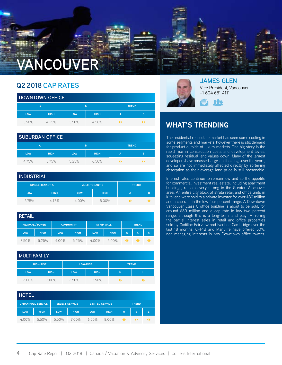# **VANCOUVER**

### **Q2 2018 CAP RATES**

| <b>DOWNTOWN OFFICE</b> |             |            |             |                |              |  |  |  |
|------------------------|-------------|------------|-------------|----------------|--------------|--|--|--|
|                        | А           |            | B           |                | <b>TREND</b> |  |  |  |
| <b>LOW</b>             | <b>HIGH</b> | <b>LOW</b> | <b>HIGH</b> | $\overline{A}$ | в            |  |  |  |
| 3.50%                  | 4 25%       | 3.50%      | 4.50%       |                |              |  |  |  |

| <b>SUBURBAN OFFICE</b> |             |            |             |                |              |  |  |  |
|------------------------|-------------|------------|-------------|----------------|--------------|--|--|--|
|                        | Α           | B          |             |                | <b>TREND</b> |  |  |  |
| <b>LOW</b>             | <b>HIGH</b> | <b>LOW</b> | <b>HIGH</b> | $\overline{A}$ | B            |  |  |  |
| 4.75%                  | 5.75%       | 5.25%      | 6.50%       |                |              |  |  |  |

| <b>INDUSTRIAL</b> |                 |                                       |             |   |   |  |  |  |  |
|-------------------|-----------------|---------------------------------------|-------------|---|---|--|--|--|--|
|                   | SINGLE-TENANT A | <b>MULTI-TENANT B</b><br><b>TREND</b> |             |   |   |  |  |  |  |
| <b>LOW</b>        | <b>HIGH</b>     | <b>LOW</b>                            | <b>HIGH</b> | А | B |  |  |  |  |
| 3.75%             | 4.75%           | $4.00\%$                              | 5.00%       |   |   |  |  |  |  |

| <b>RETAIL</b> |                         |                  |             |                   |             |              |     |   |
|---------------|-------------------------|------------------|-------------|-------------------|-------------|--------------|-----|---|
|               | <b>REGIONAL / POWER</b> | <b>COMMUNITY</b> |             | <b>STRIP MALL</b> |             | <b>TREND</b> |     |   |
| LOW           | <b>HIGH</b>             | <b>LOW</b>       | <b>HIGH</b> | <b>LOW</b>        | <b>HIGH</b> | $\mathsf{R}$ | iC. | S |
| 3.50%         | 5.25%                   | $4.00\%$         | 5.25%       | $4.00\%$          | 5.00%       | 41           |     |   |

| <b>MULTIFAMILY</b> |                  |                 |             |     |              |  |  |  |
|--------------------|------------------|-----------------|-------------|-----|--------------|--|--|--|
|                    | <b>HIGH-RISE</b> | <b>LOW-RISE</b> |             |     | <b>TREND</b> |  |  |  |
| <b>LOW</b>         | <b>HIGH</b>      | <b>LOW</b>      | <b>HIGH</b> | н   |              |  |  |  |
| 2.00%              | 3.00%            | 2.50%           | 3.50%       | 4 N |              |  |  |  |

| <b>HOTEL</b> |                           |            |                       |            |                        |                      |              |  |  |
|--------------|---------------------------|------------|-----------------------|------------|------------------------|----------------------|--------------|--|--|
|              | <b>URBAN FULL SERVICE</b> |            | <b>SELECT SERVICE</b> |            | <b>LIMITED SERVICE</b> |                      | <b>TREND</b> |  |  |
| <b>LOW</b>   | <b>HIGH</b>               | <b>LOW</b> | <b>HIGH</b>           | <b>LOW</b> | <b>HIGH</b>            | U                    | S            |  |  |
| 4.00%        | 550%                      | 5.50%      | 700%                  | 6.50%      | 8.00%                  | $\blacktriangleleft$ |              |  |  |



**JAMES GLEN** Vice President, Vancouver +1 604 681 4111



### **WHAT'S TRENDING**

The residential real estate market has seen some cooling in some segments and markets, however there is still demand for product outside of luxury markets. The big story is the rapid rise in construction costs and development levies, squeezing residual land values down. Many of the largest developers have amassed large land holdings over the years, and so are not immediately affected directly by softening absorption as their average land price is still reasonable.

Interest rates continue to remain low and so the appetite for commercial investment real estate, including apartment buildings, remains very strong in the Greater Vancouver area. An entire city block of strata retail and office units in Kitsilano were sold to a private investor for over \$80 million and a cap rate in the low four percent range. A Downtown Vancouver Class C office building is about to be sold, for around \$80 million and a cap rate in low two percent range, although this is a long-term land play. Mirroring the partial interest sales in retail and office properties sold by Cadillac Fairview and Ivanhoe Cambridge over the last 18 months, CPPIB and Manulife have offered 50%, non-managing interests in two Downtown office towers.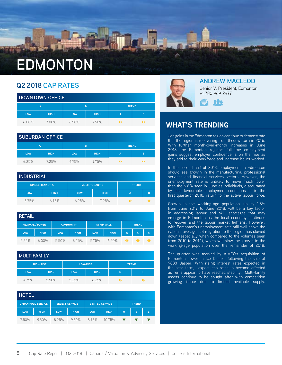## **EDMONTON**

#### **Q2 2018 CAP RATES**

| <b>DOWNTOWN OFFICE</b> |             |            |             |              |   |  |  |
|------------------------|-------------|------------|-------------|--------------|---|--|--|
|                        | А           | B          |             | <b>TREND</b> |   |  |  |
| <b>LOW</b>             | <b>HIGH</b> | <b>LOW</b> | <b>HIGH</b> | A            | в |  |  |
| $6.00\%$               | 700%        | 6.50%      | 7.50%       |              |   |  |  |

|            | <b>SUBURBAN OFFICE</b> |            |             |              |   |  |  |  |
|------------|------------------------|------------|-------------|--------------|---|--|--|--|
|            | А                      |            | B           | <b>TREND</b> |   |  |  |  |
| <b>LOW</b> | <b>HIGH</b>            | <b>LOW</b> | <b>HIGH</b> | A            | B |  |  |  |
| 6.25%      | 7.25%                  | 6.75%      | 7.75%       |              |   |  |  |  |

| <b>INDUSTRIAL</b> |                        |            |                       |              |   |  |  |  |
|-------------------|------------------------|------------|-----------------------|--------------|---|--|--|--|
|                   | <b>SINGLE-TENANT A</b> |            | <b>MULTI-TENANT B</b> | <b>TREND</b> |   |  |  |  |
| <b>LOW</b>        | <b>HIGH</b>            | <b>LOW</b> | <b>HIGH</b>           | А            | B |  |  |  |
| 5.75%             | 6.75%                  | 6.25%      | 7.25%                 |              |   |  |  |  |

| <b>RETAIL</b> |                         |            |                                       |            |             |              |   |   |
|---------------|-------------------------|------------|---------------------------------------|------------|-------------|--------------|---|---|
|               | <b>REGIONAL / POWER</b> |            | <b>COMMUNITY</b><br><b>STRIP MALL</b> |            |             | <b>TREND</b> |   |   |
| LOW           | <b>HIGH</b>             | <b>LOW</b> | <b>HIGH</b>                           | <b>LOW</b> | <b>HIGH</b> | $\mathsf{R}$ | C | S |
| 5.25%         | $6.00\%$                | 5.50%      | 6.25%                                 | 5.75%      | 6.50%       | 41           |   |   |

|            | <b>MULTIFAMILY</b> |                 |             |              |  |  |  |  |
|------------|--------------------|-----------------|-------------|--------------|--|--|--|--|
|            | <b>HIGH-RISE</b>   | <b>LOW-RISE</b> |             | <b>TREND</b> |  |  |  |  |
| <b>LOW</b> | <b>HIGH</b>        | <b>LOW</b>      | <b>HIGH</b> | н            |  |  |  |  |
| 4.75%      | 5.50%              | 5.25%           | 6.25%       |              |  |  |  |  |

| <b>HOTEL</b> |                           |            |                       |                        |             |   |              |  |
|--------------|---------------------------|------------|-----------------------|------------------------|-------------|---|--------------|--|
|              | <b>URBAN FULL SERVICE</b> |            | <b>SELECT SERVICE</b> | <b>LIMITED SERVICE</b> |             |   | <b>TREND</b> |  |
| <b>LOW</b>   | <b>HIGH</b>               | <b>LOW</b> | <b>HIGH</b>           | <b>LOW</b>             | <b>HIGH</b> | Ū | s            |  |
| 7.50%        | 9.50%                     | 8.25%      | 9.50%                 | 8.75%                  | 10.75%      |   |              |  |



#### **ANDREW MACLEOD**

Senior V. President, Edmonton +1 780 969 2977



#### **WHAT'S TRENDING**

Job gains in the Edmonton region continue to demonstrate that the region is recovering from thedownturn in 2016. With further month-over-month increases in June 2018, the Edmonton region's full-time employment gains suggest employer confidence is on the rise as they add to their workforce and increase hours worked.

In the second half of 2018, employment in Edmonton should see growth in the manufacturing, professional services and financial services sectors. However, the unemployment rate is unlikely to move much lower than the 6.6% seen in June as individuals, discouraged by less favourable employment conditions in in the first quarterof 2018, return to the active labour force.

Growth in the working-age population, up by 1.8% from June 2017 to June 2018, will be a key factor in addressing labour and skill shortages that may emerge in Edmonton as the local economy continues to recover and the labour market tightens. However, with Edmonton's unemployment rate still well above the national average, net migration to the region has slowed down (especially when compared to the volumes seen from 2010 to 2014), which will slow the growth in the working-age population over the remainder of 2018.

The quarter was marked by AIMCO's acquisition of Edmonton Tower in Ice District following the sale of 9888 Jasper. With rising interest rates expected in the near term, expect cap rates to become effected as rents appear to have reached stability. Multi-family assets continue to be sought after with competition growing fierce due to limited available supply.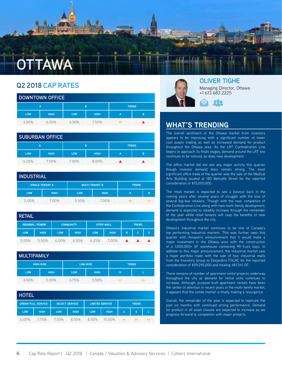

| <b>DOWNTOWN OFFICE</b> |             |            |             |                |              |  |  |
|------------------------|-------------|------------|-------------|----------------|--------------|--|--|
|                        | Α           | B          |             |                | <b>TREND</b> |  |  |
| <b>LOW</b>             | <b>HIGH</b> | <b>LOW</b> | <b>HIGH</b> | $\overline{A}$ | B            |  |  |
| 4.50%                  | $6.00\%$    | 6.50%      | 7.50%       |                |              |  |  |

|            | <b>SUBURBAN OFFICE</b> |            |              |                |   |  |  |  |
|------------|------------------------|------------|--------------|----------------|---|--|--|--|
| A          | B                      |            | <b>TREND</b> |                |   |  |  |  |
| <b>LOW</b> | <b>HIGH</b>            | <b>LOW</b> | <b>HIGH</b>  | $\overline{A}$ | B |  |  |  |
| 6.25%      | 700%                   | 700%       | 8.00%        |                |   |  |  |  |

|            | <b>INDUSTRIAL</b>      |                       |             |              |   |  |  |  |  |
|------------|------------------------|-----------------------|-------------|--------------|---|--|--|--|--|
|            | <b>SINGLE-TENANT A</b> | <b>MULTI-TENANT B</b> |             | <b>TREND</b> |   |  |  |  |  |
| <b>LOW</b> | <b>HIGH</b>            | <b>LOW</b>            | <b>HIGH</b> | A            | в |  |  |  |  |
| 5.00%      | 7.00%                  | 5.50%                 | 7.00%       |              |   |  |  |  |  |

| <b>RETAIL</b> |                         |            |                                       |            |              |                  |    |   |
|---------------|-------------------------|------------|---------------------------------------|------------|--------------|------------------|----|---|
|               | <b>REGIONAL / POWER</b> |            | <b>COMMUNITY</b><br><b>STRIP MALL</b> |            | <b>TREND</b> |                  |    |   |
| <b>LOW</b>    | <b>HIGH</b>             | <b>LOW</b> | <b>HIGH</b>                           | <b>LOW</b> | <b>HIGH</b>  | $\mathsf{R}$     | C. | S |
| 5.00%         | 5.50%                   | $6.00\%$   | 6.50%                                 | 6.25%      | 7.00%        | $\blacktriangle$ |    |   |

| <b>MULTIFAMILY</b> |                  |            |                 |              |  |
|--------------------|------------------|------------|-----------------|--------------|--|
|                    | <b>HIGH-RISE</b> |            | <b>LOW-RISE</b> | <b>TREND</b> |  |
| LOW                | <b>HIGH</b>      | <b>LOW</b> | <b>HIGH</b>     | н            |  |
| 4.50%              | 5.00%            | 4.75%      | 5.50%           | 41           |  |

| <b>HOTEL</b> |                           |                                                 |             |            |              |   |   |  |
|--------------|---------------------------|-------------------------------------------------|-------------|------------|--------------|---|---|--|
|              | <b>URBAN FULL SERVICE</b> | <b>LIMITED SERVICE</b><br><b>SELECT SERVICE</b> |             |            | <b>TREND</b> |   |   |  |
| <b>LOW</b>   | <b>HIGH</b>               | <b>LOW</b>                                      | <b>HIGH</b> | <b>LOW</b> | <b>HIGH</b>  | U | s |  |
| $6.00\%$     | 7.75%                     | 7.50%                                           | 8.50%       | 8.50%      | 10.00%       |   |   |  |



#### **OLIVER TIGHE** Managing Director, Ottawa

+1 613 683 2225



### **WHAT'S TRENDING**

The overall sentiment of the Ottawa market from investors appears to be improving with a significant number of lower cost assets trading as well as increased demand for product throughout the Ottawa area. As the LRT Confederation Line begins to approach its finals stages, demand around the LRT line continues to be noticed, as does new development.

The office market did not see any major activity this quarter though investor demand does remain strong. The most significant office trade of the quarter was the sale of the Medical Arts Building located at 180 Metcalfe Street for the reported consideration of \$15,000,000.

The retail market is expected to see a bounce back in the coming years after several years of struggle with the loss of several big-box retailers. Though with the near completion of the Confederation Line along with new multi-family development, demand is expected to steadily increase through the remainder of the year while retail tenants will reap the benefits of new development throughout the city.

Ottawa's industrial market continues to be one of Canada's top performing industrial markets. This was further seen this quarter with Amazon's announcement that it would make a major investment in the Ottawa area with the construction of a 1,000,000+ SF warehouse containing 99 truck bays. In addition to this major announcement, the industrial market saw a major portfolio trade with the sale of four industrial malls from the Investors Group to Desjardins FSLAC for the reported consideration of \$59,295,000 and totaling 481,541 SF.

There remains of number of apartment rental projects underway throughout the city as demand for rental units continues to increase. Although, purpose built apartment rentals have been the center of attention in recent years in the multi-family market, it appears that the condo market is finally making a resurgence.

Overall, the remainder of the year is expected to replicate the past six months with continued strong performance. Demand for product in all asset classes are expected to increase as we progress forward to completion with major projects.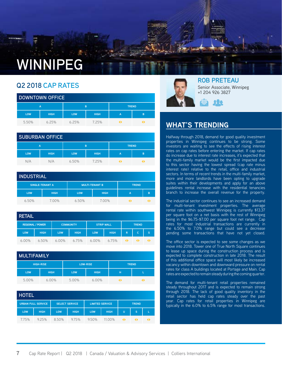# **WINNIPEG**

#### **Q2 2018 CAP RATES**

|            | <b>DOWNTOWN OFFICE</b> |                   |             |                |   |  |  |  |  |
|------------|------------------------|-------------------|-------------|----------------|---|--|--|--|--|
|            | A                      | B<br><b>TREND</b> |             |                |   |  |  |  |  |
| <b>LOW</b> | <b>HIGH</b>            | <b>LOW</b>        | <b>HIGH</b> | $\overline{A}$ | B |  |  |  |  |
| 5.50%      | 6.25%                  | 6.25%             | 7.25%       |                |   |  |  |  |  |

| <b>SUBURBAN OFFICE</b> |             |            |             |              |   |  |  |  |
|------------------------|-------------|------------|-------------|--------------|---|--|--|--|
|                        | A           | B          |             | <b>TREND</b> |   |  |  |  |
| <b>LOW</b>             | <b>HIGH</b> | <b>LOW</b> | <b>HIGH</b> | A            | B |  |  |  |
| N/A                    | N/A         | 6.50%      | 7.25%       |              |   |  |  |  |

| <b>INDUSTRIAL</b> |                        |                       |             |              |   |  |  |  |  |
|-------------------|------------------------|-----------------------|-------------|--------------|---|--|--|--|--|
|                   | <b>SINGLE-TENANT A</b> | <b>MULTI-TENANT B</b> |             | <b>TREND</b> |   |  |  |  |  |
| <b>LOW</b>        | <b>HIGH</b>            | <b>LOW</b>            | <b>HIGH</b> |              | B |  |  |  |  |
| 6.50%             | 7.00%                  | 6.50%                 | 7.00%       |              |   |  |  |  |  |

| <b>RETAIL</b> |                         |                  |             |                   |             |              |          |   |
|---------------|-------------------------|------------------|-------------|-------------------|-------------|--------------|----------|---|
|               | <b>REGIONAL / POWER</b> | <b>COMMUNITY</b> |             | <b>STRIP MALL</b> |             | <b>TREND</b> |          |   |
| LOW           | <b>HIGH</b>             | <b>LOW</b>       | <b>HIGH</b> | <b>LOW</b>        | <b>HIGH</b> | $\mathsf{R}$ | <b>C</b> | S |
| 6.00%         | 6.50%                   | $6.00\%$         | 6.75%       | $6.00\%$          | 6.75%       |              |          |   |

|            | <b>MULTIFAMILY</b> |                 |             |              |  |  |  |  |  |
|------------|--------------------|-----------------|-------------|--------------|--|--|--|--|--|
|            | <b>HIGH-RISE</b>   | <b>LOW-RISE</b> |             | <b>TREND</b> |  |  |  |  |  |
| <b>LOW</b> | <b>HIGH</b>        | <b>LOW</b>      | <b>HIGH</b> | н            |  |  |  |  |  |
| 5.00%      | $6.00\%$           | 5.00%           | $6.00\%$    |              |  |  |  |  |  |

| <b>HOTEL</b> |                           |                       |             |                        |             |              |    |  |  |
|--------------|---------------------------|-----------------------|-------------|------------------------|-------------|--------------|----|--|--|
|              | <b>URBAN FULL SERVICE</b> | <b>SELECT SERVICE</b> |             | <b>LIMITED SERVICE</b> |             | <b>TREND</b> |    |  |  |
| <b>LOW</b>   | <b>HIGH</b>               | <b>LOW</b>            | <b>HIGH</b> | <b>LOW</b>             | <b>HIGH</b> | U            | 'S |  |  |
| 7.75%        | 9.25%                     | 8.50%                 | 9.75%       | 9.50%                  | 11.00%      |              |    |  |  |



**ROB PRETEAU** Senior Associate, Winnipeg +1 204 926 3827

### 222

### **WHAT'S TRENDING**

Halfway through 2018, demand for good quality investment properties in Winnipeg continues to be strong. Some investors are waiting to see the effects of rising interest rates on cap rates before entering the market. If cap rates do increase due to interest rate increases, it's expected that the multi-family market would be the first impacted due to this sector having the lowest spread (cap rate minus interest rate) relative to the retail, office and industrial sectors. In terms of recent trends in the multi-family market, more and more landlords have been opting to upgrade suites within their developments and apply for an above guidelines rental increase with the residential tenancies branch to increase the overall revenue for the property.

The industrial sector continues to see an increased demand for multi-tenant investment properties. The average rental rate within southwest Winnipeg is currently \$13.37 per square foot on a net basis with the rest of Winnipeg being in the \$6.75-\$7.00 per square foot net range. Cap rates for most industrial transactions are currently in the 6.50% to 7.0% range but could see a decrease pending some transactions that have not yet closed.

The office sector is expected to see some changes as we move into 2018. Tower one of True North Square continues to lease up space during the construction process and is expected to complete construction in late 2018. The result of this additional office space will most likely be increased vacancy within downtown and downward pressure on rental rates for class A buildings located at Portage and Main. Cap rates are expected to remain steady during the coming quarter.

The demand for multi-tenant retail properties remained steady throughout 2017 and is expected to remain strong through 2018. The lack of good quality inventory in the retail sector has held cap rates steady over the past year. Cap rates for retail properties in Winnipeg are typically in the 6.0% to 6.5% range for most transactions.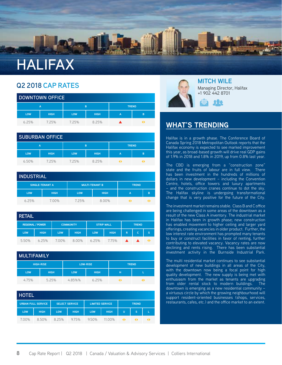

| <b>DOWNTOWN OFFICE</b> |             |                   |             |                |   |  |  |  |
|------------------------|-------------|-------------------|-------------|----------------|---|--|--|--|
|                        | А           | <b>TREND</b><br>B |             |                |   |  |  |  |
| <b>LOW</b>             | <b>HIGH</b> | <b>LOW</b>        | <b>HIGH</b> | $\overline{A}$ | B |  |  |  |
| 6.25%                  | 7.25%       | 7.25%             | 8.25%       |                |   |  |  |  |

|            | <b>SUBURBAN OFFICE</b> |            |             |   |              |  |  |  |  |
|------------|------------------------|------------|-------------|---|--------------|--|--|--|--|
|            | A                      | B          |             |   | <b>TREND</b> |  |  |  |  |
| <b>LOW</b> | <b>HIGH</b>            | <b>LOW</b> | <b>HIGH</b> | A | B            |  |  |  |  |
| 6.50%      | 7.25%                  | 7.25%      | 8.25%       |   |              |  |  |  |  |

| <b>INDUSTRIAL</b> |                        |                       |             |              |  |  |  |  |  |
|-------------------|------------------------|-----------------------|-------------|--------------|--|--|--|--|--|
|                   | <b>SINGLE-TENANT A</b> | <b>MULTI-TENANT B</b> |             | <b>TREND</b> |  |  |  |  |  |
| <b>LOW</b>        | <b>HIGH</b>            | <b>LOW</b>            | <b>HIGH</b> | А            |  |  |  |  |  |
| 625%              | 7.00%                  | 725%                  | 8.00%       |              |  |  |  |  |  |

| <b>RETAIL</b> |                         |            |                  |                   |             |              |    |    |
|---------------|-------------------------|------------|------------------|-------------------|-------------|--------------|----|----|
|               | <b>REGIONAL / POWER</b> |            | <b>COMMUNITY</b> | <b>STRIP MALL</b> |             | <b>TREND</b> |    |    |
| <b>LOW</b>    | <b>HIGH</b>             | <b>LOW</b> | <b>HIGH</b>      | LOW               | <b>HIGH</b> | $\mathsf{R}$ | C. | S  |
| 5.50%         | 6.25%                   | 7.00%      | 8.00%            | 6.25%             | 7.75%       |              |    | 41 |

| <b>MULTIFAMILY</b> |                  |                 |             |              |  |  |  |  |
|--------------------|------------------|-----------------|-------------|--------------|--|--|--|--|
|                    | <b>HIGH-RISE</b> | <b>LOW-RISE</b> |             | <b>TREND</b> |  |  |  |  |
| LOW                | <b>HIGH</b>      | <b>LOW</b>      | <b>HIGH</b> | н            |  |  |  |  |
| 4.75%              | 5.25%            | 4.85%%          | 6.25%       |              |  |  |  |  |

| <b>HOTEL</b> |                           |                       |             |                        |             |              |              |  |
|--------------|---------------------------|-----------------------|-------------|------------------------|-------------|--------------|--------------|--|
|              | <b>URBAN FULL SERVICE</b> | <b>SELECT SERVICE</b> |             | <b>LIMITED SERVICE</b> |             | <b>TREND</b> |              |  |
| <b>LOW</b>   | <b>HIGH</b>               | <b>LOW</b>            | <b>HIGH</b> | <b>LOW</b>             | <b>HIGH</b> | U            | <sub>S</sub> |  |
| 7.00%        | 8.50%                     | 8.25%                 | 9.75%       | 9.50%                  | 11.00%      |              | 41           |  |



### **MITCH WILE**

Managing Director, Halifax +1 902 442 8701



#### **Also in October Strathallen acquired a 44-property portfolio from a subsidiary of OneREIT. The portfolio included the WHAT'S TRENDING**

**shopping centre which sold for a reported price of \$5.6 mil-**Halifax is in a growth phase. The Conference Board of **lion) and the Lancaster Mall in St. John's, NB (A Walmart-an-**Halifax economy is expected to see marked improvement this year, as broad-based growth will drive real GDP gains Canada Spring 2018 Metropolitan Outlook reports that the of 1.9% in 2018 and 1.8% in 2019, up from 0.8% last year.

The CBD is emerging from a "construction zone" state and the fruits of labour are in full view. There has been investment in the hundreds of millions of dollars in new development – including the Convention Centre, hotels, office towers and luxury apartments – and the construction cranes continue to dot the sky. The Halifax skyline is undergoing transformational change that is very positive for the future of the City.

The investment market remains stable. Class B and C office are being challenged in some areas of the downtown as a result of the new Class A inventory. The industrial market in Halifax has been in growth phase; new construction has enabled movement to higher ceiling and larger yard offerings, creating vacancies in older product. Further, the low interest rate environment has prompted many tenants to buy or construct facilities in favor of renting, further contributing to elevated vacancy. Vacancy rates are now declining and rents rising. There has been substantial investment activity in the Burnside Industrial Park.

The multi residential market continues to see substantial development of new buildings in all areas of the City, with the downtown now being a focal point for high quality development. The new supply is being met with enthusiasm from the market as tenants are upgrading from older rental stock to modern buildings. The downtown is emerging as a new residential community – a virtuous circle by which the growing neighbourhood will support resident-oriented businesses (shops, services, restaurants, cafes, etc.) and the office market to an extent.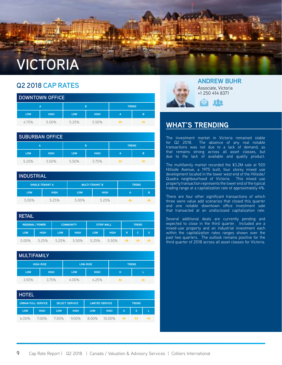## **VICTORIA**

### **Q2 2018 CAP RATES**

|            | <b>DOWNTOWN OFFICE</b> |            |                   |                |   |  |  |  |  |
|------------|------------------------|------------|-------------------|----------------|---|--|--|--|--|
|            | А                      |            | <b>TREND</b><br>B |                |   |  |  |  |  |
| <b>LOW</b> | <b>HIGH</b>            | <b>LOW</b> | <b>HIGH</b>       | $\overline{A}$ | B |  |  |  |  |
| 4.75%      | 5.00%                  | 5.25%      | 5.50%             |                |   |  |  |  |  |

|            | <b>SUBURBAN OFFICE</b> |            |             |              |   |  |  |  |  |
|------------|------------------------|------------|-------------|--------------|---|--|--|--|--|
|            | A                      |            | <b>B</b>    | <b>TREND</b> |   |  |  |  |  |
| <b>LOW</b> | <b>HIGH</b>            | <b>LOW</b> | <b>HIGH</b> | A            | B |  |  |  |  |
| 5.25%      | 5.50%                  | 5.50%      | 5.75%       |              |   |  |  |  |  |

#### **INDUSTRIAL SINGLE-TENANT A MULTI-TENANT B TREND LOW HIGH LOW HIGH A B** 5.00% 5.25% 5.00% 5.25%

| <b>RETAIL</b> |                         |            |                  |            |                   |              |     |   |
|---------------|-------------------------|------------|------------------|------------|-------------------|--------------|-----|---|
|               | <b>REGIONAL / POWER</b> |            | <b>COMMUNITY</b> |            | <b>STRIP MALL</b> | <b>TREND</b> |     |   |
| <b>LOW</b>    | <b>HIGH</b>             | <b>LOW</b> | <b>HIGH</b>      | <b>LOW</b> | <b>HIGH</b>       | $\mathsf{R}$ | iC. | S |
| 5.00%         | 5.25%                   | 5.25%      | 5.50%            | 5.25%      | 5.50%             | 41           |     |   |

|            | <b>MULTIFAMILY</b> |            |                 |              |  |  |  |  |  |
|------------|--------------------|------------|-----------------|--------------|--|--|--|--|--|
|            | <b>HIGH-RISE</b>   |            | <b>LOW-RISE</b> | <b>TREND</b> |  |  |  |  |  |
| <b>LOW</b> | <b>HIGH</b>        | <b>LOW</b> | <b>HIGH</b>     | н            |  |  |  |  |  |
| 3.50%      | 3.75%              | $4.00\%$   | 4.25%           | 41           |  |  |  |  |  |

| <b>HOTEL</b> |                           |                       |             |                        |             |              |   |  |
|--------------|---------------------------|-----------------------|-------------|------------------------|-------------|--------------|---|--|
|              | <b>URBAN FULL SERVICE</b> | <b>SELECT SERVICE</b> |             | <b>LIMITED SERVICE</b> |             | <b>TREND</b> |   |  |
| <b>LOW</b>   | <b>HIGH</b>               | <b>LOW</b>            | <b>HIGH</b> | <b>LOW</b>             | <b>HIGH</b> | U            | s |  |
| $6.00\%$     | 7.00%                     | 7.00%                 | $9.00\%$    | 8.00%                  | 10.00%      |              |   |  |



**ANDREW BUHR** Associate, Victoria +1 250 414 8371



### **WHAT'S TRENDING**

**Louisville** 

The investment market in Victoria remained stable for Q2 2018. The absence of any real notable transactions was not due to a lack of demand, as that remains strong across all asset classes, but due to the lack of available and quality product.

The multifamily market recorded the \$3.2M sale at 920 Hillside Avenue, a 1975 built, four storey mixed use development located in the lower west end of the Hillside/ Quadra neighbourhood of Victoria. This mixed use property transaction represents the lower end of the typical trading range at a capitalization rate of approximately 4%.

There are four other significant transactions of which three were value add scenarios that closed this quarter and one notable downtown office investment sale that transacted at an undisclosed capitalization rate.

Several additional deals are currently pending and expected to close in the third quarter. Included are a mixed-use property and an industrial investment each within the capitalization rates ranges shown over the past two quarters. The outlook remains positive for the third quarter of 2018 across all asset classes for Victoria.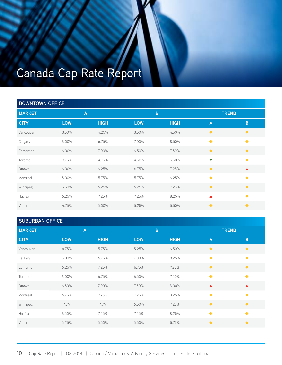## Canada Cap Rate Report

|               | <b>DOWNTOWN OFFICE</b> |             |             |             |                      |                  |  |  |  |  |
|---------------|------------------------|-------------|-------------|-------------|----------------------|------------------|--|--|--|--|
| <b>MARKET</b> | $\overline{A}$         |             | $\mathsf B$ |             | <b>TREND</b>         |                  |  |  |  |  |
| <b>CITY</b>   | <b>LOW</b>             | <b>HIGH</b> | <b>LOW</b>  | <b>HIGH</b> | $\overline{A}$       | $\overline{B}$   |  |  |  |  |
| Vancouver     | 3.50%                  | 4.25%       | 3.50%       | 4.50%       | $\blacklozenge$      | $\blacklozenge$  |  |  |  |  |
| Calgary       | 6.00%                  | 6.75%       | 7.00%       | 8.50%       | $\blacklozenge$      | $\blacklozenge$  |  |  |  |  |
| Edmonton      | 6.00%                  | 7.00%       | 6.50%       | 7.50%       | $\rightarrow$        | $\blacklozenge$  |  |  |  |  |
| Toronto       | 3.75%                  | 4.75%       | 4.50%       | 5.50%       | $\blacktriangledown$ | $\blacklozenge$  |  |  |  |  |
| Ottawa        | 6.00%                  | 6.25%       | 6.75%       | 7.25%       | $\blacklozenge$      | $\blacktriangle$ |  |  |  |  |
| Montreal      | 5.00%                  | 5.75%       | 5.75%       | 6.25%       | $\blacklozenge$      | $\blacklozenge$  |  |  |  |  |
| Winnipeg      | 5.50%                  | 6.25%       | 6.25%       | 7.25%       | $\rightarrow$        | $\blacklozenge$  |  |  |  |  |
| Halifax       | 6.25%                  | 7.25%       | 7.25%       | 8.25%       | $\blacktriangle$     | $\blacklozenge$  |  |  |  |  |
| Victoria      | 4.75%                  | 5.00%       | 5.25%       | 5.50%       | $\blacklozenge$      | $\blacklozenge$  |  |  |  |  |

|               | <b>SUBURBAN OFFICE</b> |             |            |             |                  |                  |  |  |  |
|---------------|------------------------|-------------|------------|-------------|------------------|------------------|--|--|--|
| <b>MARKET</b> | $\mathsf{A}$           |             | $\sf{B}$   |             | <b>TREND</b>     |                  |  |  |  |
| <b>CITY</b>   | <b>LOW</b>             | <b>HIGH</b> | <b>LOW</b> | <b>HIGH</b> | $\overline{A}$   | $\sf{B}$         |  |  |  |
| Vancouver     | 4.75%                  | 5.75%       | 5.25%      | 6.50%       | $\blacklozenge$  | $\blacklozenge$  |  |  |  |
| Calgary       | 6.00%                  | 6.75%       | 7.00%      | 8.25%       | $\blacklozenge$  | $\blacklozenge$  |  |  |  |
| Edmonton      | 6.25%                  | 7.25%       | 6.75%      | 7.75%       | $\blacklozenge$  | $\rightarrow$    |  |  |  |
| Toronto       | 6.00%                  | 6.75%       | 6.50%      | 7.50%       | $\blacklozenge$  | $\ddot{\bullet}$ |  |  |  |
| Ottawa        | 6.50%                  | 7.00%       | 7.50%      | 8.00%       | $\blacktriangle$ | $\blacktriangle$ |  |  |  |
| Montreal      | 6.75%                  | 7.75%       | 7.25%      | 8.25%       | $\blacklozenge$  | $\blacklozenge$  |  |  |  |
| Winnipeg      | N/A                    | N/A         | 6.50%      | 7.25%       | $\blacklozenge$  | $\rightarrow$    |  |  |  |
| Halifax       | 6.50%                  | 7.25%       | 7.25%      | 8.25%       | $\blacklozenge$  | $\blacklozenge$  |  |  |  |
| Victoria      | 5.25%                  | 5.50%       | 5.50%      | 5.75%       | $\blacklozenge$  | $\blacklozenge$  |  |  |  |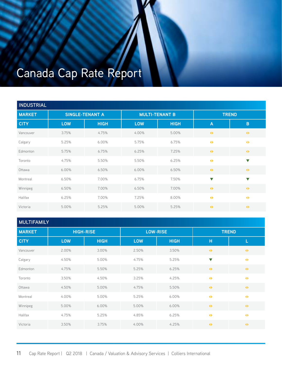## Canada Cap Rate Report

| <b>INDUSTRIAL</b> |            |                        |                       |             |                      |                      |  |  |  |  |
|-------------------|------------|------------------------|-----------------------|-------------|----------------------|----------------------|--|--|--|--|
| <b>MARKET</b>     |            | <b>SINGLE-TENANT A</b> | <b>MULTI-TENANT B</b> |             | <b>TREND</b>         |                      |  |  |  |  |
| <b>CITY</b>       | <b>LOW</b> | <b>HIGH</b>            | <b>LOW</b>            | <b>HIGH</b> | $\mathsf{A}$         | $\mathbf B$          |  |  |  |  |
| Vancouver         | 3.75%      | 4.75%                  | 4.00%                 | 5.00%       | $\blacklozenge$      | $\blacklozenge$      |  |  |  |  |
| Calgary           | 5.25%      | 6.00%                  | 5.75%                 | 6.75%       | $\blacklozenge$      | $\blacklozenge$      |  |  |  |  |
| Edmonton          | 5.75%      | 6.75%                  | 6.25%                 | 7.25%       | $\blacklozenge$      | $\blacklozenge$      |  |  |  |  |
| Toronto           | 4.75%      | 5.50%                  | 5.50%                 | 6.25%       | $\blacklozenge$      | $\blacktriangledown$ |  |  |  |  |
| Ottawa            | 6.00%      | 6.50%                  | 6.00%                 | 6.50%       | $\blacklozenge$      | $\blacklozenge$      |  |  |  |  |
| Montreal          | 6.50%      | 7.00%                  | 6.75%                 | 7.50%       | $\blacktriangledown$ | $\blacktriangledown$ |  |  |  |  |
| Winnipeg          | 6.50%      | 7.00%                  | 6.50%                 | 7.00%       | $\blacklozenge$      | $\blacklozenge$      |  |  |  |  |
| Halifax           | 6.25%      | 7.00%                  | 7.25%                 | 8.00%       | $\blacklozenge$      | $\blacklozenge$      |  |  |  |  |
| Victoria          | 5.00%      | 5.25%                  | 5.00%                 | 5.25%       | $\rightarrow$        | $\blacklozenge$      |  |  |  |  |

| <b>MULTIFAMILY</b> |  |  |
|--------------------|--|--|
|                    |  |  |
|                    |  |  |

| <b>MARKET</b> | <b>HIGH-RISE</b> |             | <b>LOW-RISE</b> |             | <b>TREND</b>         |                 |  |
|---------------|------------------|-------------|-----------------|-------------|----------------------|-----------------|--|
| <b>CITY</b>   | <b>LOW</b>       | <b>HIGH</b> | <b>LOW</b>      | <b>HIGH</b> | н                    | L               |  |
| Vancouver     | 2.00%            | 3.00%       | 2.50%           | 3.50%       | $\blacklozenge$      | $\blacklozenge$ |  |
| Calgary       | 4.50%            | 5.00%       | 4.75%           | 5.25%       | $\blacktriangledown$ | $\blacklozenge$ |  |
| Edmonton      | 4.75%            | 5.50%       | 5.25%           | 6.25%       | $\blacklozenge$      | $\blacklozenge$ |  |
| Toronto       | 3.50%            | 4.50%       | 3.25%           | 4.25%       | $\blacklozenge$      | $\blacklozenge$ |  |
| Ottawa        | 4.50%            | 5.00%       | 4.75%           | 5.50%       | $\blacklozenge$      | $\blacklozenge$ |  |
| Montreal      | 4.00%            | 5.00%       | 5.25%           | 6.00%       | $\blacklozenge$      | $\blacklozenge$ |  |
| Winnipeg      | 5.00%            | 6.00%       | 5.00%           | 6.00%       | $\blacklozenge$      | $\blacklozenge$ |  |
| Halifax       | 4.75%            | 5.25%       | 4.85%           | 6.25%       | $\blacklozenge$      | $\blacklozenge$ |  |
| Victoria      | 3.50%            | 3.75%       | 4.00%           | 4.25%       | $\blacklozenge$      | $\blacklozenge$ |  |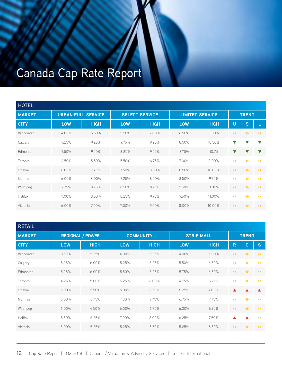## Canada Cap Rate Report

| <b>HOTEL</b>  |            |                           |            |                       |            |                        |                      |                      |                      |  |
|---------------|------------|---------------------------|------------|-----------------------|------------|------------------------|----------------------|----------------------|----------------------|--|
| <b>MARKET</b> |            | <b>URBAN FULL SERVICE</b> |            | <b>SELECT SERVICE</b> |            | <b>LIMITED SERVICE</b> |                      | <b>TREND</b>         |                      |  |
| <b>CITY</b>   | <b>LOW</b> | <b>HIGH</b>               | <b>LOW</b> | <b>HIGH</b>           | <b>LOW</b> | <b>HIGH</b>            | U                    | S                    |                      |  |
| Vancouver     | 4.00%      | 5.50%                     | 5.50%      | 7.00%                 | 6.50%      | 8.00%                  | $\blacklozenge$      | $\blacklozenge$      | $\blacklozenge$      |  |
| Calgary       | 7.25%      | 9.25%                     | 7.75%      | 9.25%                 | 8.50%      | 10.50%                 | $\blacktriangledown$ |                      | $\blacktriangledown$ |  |
| Edmonton      | 7.50%      | 9.50%                     | 8.25%      | 9.50%                 | 8.75%      | 10.75                  | $\blacktriangledown$ | v                    | $\blacktriangledown$ |  |
| Toronto       | 4.50%      | 5.50%                     | 5.50%      | 6.75%                 | 7.00%      | 8.00%                  | $\blacklozenge$      | $\blacktriangleleft$ | $\blacklozenge$      |  |
| Ottawa        | $6.00\%$   | 7.75%                     | 7.50%      | 8.50%                 | 8.50%      | 10.00%                 | $\rightarrow$        | $\blacklozenge$      | $\blacklozenge$      |  |
| Montreal      | 6.00%      | 8.00%                     | 7.25%      | 8.50%                 | 8.50%      | 9.75%                  | $\blacklozenge$      | $\blacklozenge$      | $\blacktriangleleft$ |  |
| Winnipeg      | 7.75%      | 9.25%                     | 8.50%      | 9.75%                 | 9.50%      | 11.00%                 | $\blacklozenge$      | $\blacklozenge$      | $\rightarrow$        |  |
| Halifax       | 7.00%      | 8.50%                     | 8.25%      | 9.75%                 | 9.50%      | 11.00%                 | $\blacklozenge$      | $\blacktriangleleft$ | $\blacklozenge$      |  |
| Victoria      | $6.00\%$   | 7.00%                     | 7.00%      | 9.00%                 | 8.00%      | 10.00%                 | $\blacklozenge$      | $\blacktriangleleft$ | $\blacktriangleleft$ |  |

| <b>RETAIL</b> |                         |             |            |                  |            |                   |                  |                      |                      |
|---------------|-------------------------|-------------|------------|------------------|------------|-------------------|------------------|----------------------|----------------------|
| <b>MARKET</b> | <b>REGIONAL / POWER</b> |             |            | <b>COMMUNITY</b> |            | <b>STRIP MALL</b> | <b>TREND</b>     |                      |                      |
| <b>CITY</b>   | <b>LOW</b>              | <b>HIGH</b> | <b>LOW</b> | <b>HIGH</b>      | <b>LOW</b> | <b>HIGH</b>       | R                | С                    | ls,                  |
| Vancouver     | 3.50%                   | 5.25%       | 4.00%      | 5.25%            | 4.00%      | 5.00%             | $\blacklozenge$  | $\blacklozenge$      | $\rightarrow$        |
| Calgary       | 5.25%                   | 6.00%       | 5.25%      | 6.25%            | 5.50%      | 6.50%             | $\blacklozenge$  | $\blacklozenge$      | $\blacklozenge$      |
| Edmonton      | 5.25%                   | 6.00%       | 5.50%      | 6.25%            | 5.75%      | 6.50%             | $\blacklozenge$  | $\blacklozenge$      | $\rightarrow$        |
| Toronto       | 4.25%                   | 5.00%       | 5.25%      | 6.00%            | 4.75%      | 5.75%             | $\blacklozenge$  | $\blacklozenge$      | $\blacktriangleleft$ |
| Ottawa        | 5.00%                   | 5.50%       | 6.00%      | 6.50%            | 6.25%      | 7.00%             | $\blacktriangle$ |                      | ▲                    |
| Montreal      | 5.00%                   | 6.75%       | 7.00%      | 7.75%            | 6.75%      | 7.75%             | $\blacklozenge$  | $\blacktriangleleft$ | $\blacklozenge$      |
| Winnipeg      | 6.00%                   | 6.50%       | 6.00%      | 6.75%            | 6.00%      | 6.75%             | $\blacklozenge$  | $\blacklozenge$      | $\rightarrow$        |
| Halifax       | 5.50%                   | 6.25%       | 7.00%      | 8.00%            | 6.25%      | 7.50%             | ▲                |                      | $\blacktriangleleft$ |
| Victoria      | 5.00%                   | 5.25%       | 5.25%      | 5.50%            | 5.25%      | 5.50%             | $\blacklozenge$  | $\blacklozenge$      | $\blacklozenge$      |